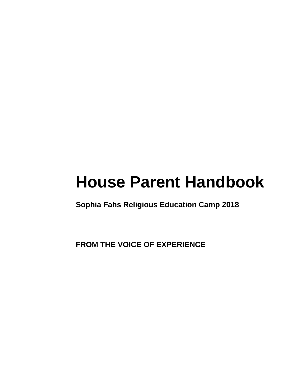# **House Parent Handbook**

**Sophia Fahs Religious Education Camp 2018**

**FROM THE VOICE OF EXPERIENCE**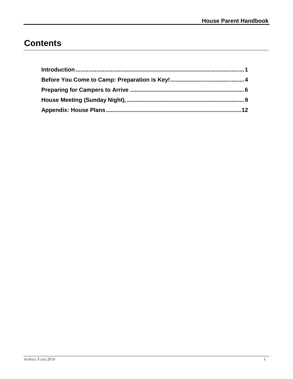## **Contents**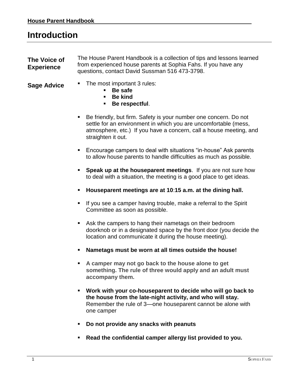## <span id="page-4-0"></span>**Introduction**

**The Voice of Experience** The House Parent Handbook is a collection of tips and lessons learned from experienced house parents at Sophia Fahs. If you have any questions, contact David Sussman 516 473-3798.

- 
- **Sage Advice ■** The most important 3 rules:
	- Be safe
	- **Be kind**
	- **Be respectful**.
	- Be friendly, but firm. Safety is your number one concern. Do not settle for an environment in which you are uncomfortable (mess, atmosphere, etc.) If you have a concern, call a house meeting, and straighten it out.
	- Encourage campers to deal with situations "in-house" Ask parents to allow house parents to handle difficulties as much as possible.
	- **Speak up at the houseparent meetings**. If you are not sure how to deal with a situation, the meeting is a good place to get ideas.
	- **Houseparent meetings are at 10**:**15 a.m. at the dining hall.**
	- If you see a camper having trouble, make a referral to the Spirit Committee as soon as possible.
	- Ask the campers to hang their nametags on their bedroom doorknob or in a designated space by the front door (you decide the location and communicate it during the house meeting).
	- **Nametags must be worn at all times outside the house!**
	- **A camper may not go back to the house alone to get something. The rule of three would apply and an adult must accompany them.**
	- **Work with your co-houseparent to decide who will go back to the house from the late-night activity, and who will stay.**  Remember the rule of 3—one houseparent cannot be alone with one camper
	- **Do not provide any snacks with peanuts**
	- **Read the confidential camper allergy list provided to you.**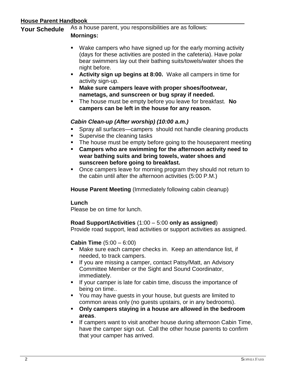### **House Parent Handbook**

**Your Schedule** As a house parent, you responsibilities are as follows:

### **Mornings:**

- Wake campers who have signed up for the early morning activity (days for these activities are posted in the cafeteria). Have polar bear swimmers lay out their bathing suits/towels/water shoes the night before.
- **Activity sign up begins at 8:00.** Wake all campers in time for activity sign-up.
- **Make sure campers leave with proper shoes/footwear, nametags, and sunscreen or bug spray if needed.**
- The house must be empty before you leave for breakfast. **No campers can be left in the house for any reason.**

### *Cabin Clean-up (After worship) (10:00 a.m.)*

- Spray all surfaces—campers should not handle cleaning products
- Supervise the cleaning tasks
- **The house must be empty before going to the houseparent meeting**
- **Campers who are swimming for the afternoon activity need to wear bathing suits and bring towels, water shoes and sunscreen before going to breakfast.**
- Once campers leave for morning program they should not return to the cabin until after the afternoon activities (5:00 P.M.)

**House Parent Meeting** (Immediately following cabin cleanup)

### **Lunch**

Please be on time for lunch.

### **Road Support/Activities** (1:00 – 5:00 **only as assigned**)

Provide road support, lead activities or support activities as assigned.

### **Cabin Time** (5:00 – 6:00)

- Make sure each camper checks in. Keep an attendance list, if needed, to track campers.
- If you are missing a camper, contact Patsy/Matt, an Advisory Committee Member or the Sight and Sound Coordinator, immediately.
- If your camper is late for cabin time, discuss the importance of being on time..
- You may have quests in your house, but quests are limited to common areas only (no guests upstairs, or in any bedrooms).
- **Only campers staying in a house are allowed in the bedroom areas**.
- **■** If campers want to visit another house during afternoon Cabin Time, have the camper sign out. Call the other house parents to confirm that your camper has arrived.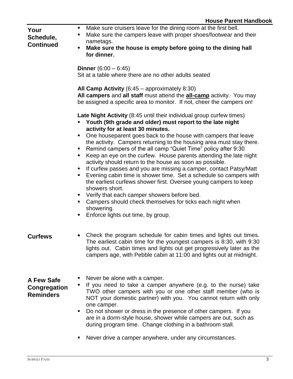| Your<br>Schedule,<br><b>Continued</b>          | Make sure cruisers leave for the dining room at the first bell.<br>п.<br>Make sure the campers leave with proper shoes/footwear and their<br>٠<br>nametags.<br>Make sure the house is empty before going to the dining hall<br>٠<br>for dinner.                                                                                                                                                                                                                                                                                                                                              |
|------------------------------------------------|----------------------------------------------------------------------------------------------------------------------------------------------------------------------------------------------------------------------------------------------------------------------------------------------------------------------------------------------------------------------------------------------------------------------------------------------------------------------------------------------------------------------------------------------------------------------------------------------|
|                                                | <b>Dinner</b> $(6:00 - 6:45)$<br>Sit at a table where there are no other adults seated                                                                                                                                                                                                                                                                                                                                                                                                                                                                                                       |
|                                                | All Camp Activity $(6:45 -$ approximately 8:30)<br>All campers and all staff must attend the <b>all-camp</b> activity. You may<br>be assigned a specific area to monitor. If not, cheer the campers on!                                                                                                                                                                                                                                                                                                                                                                                      |
|                                                | Late Night Activity (8:45 until their individual group curfew times)<br>Youth (9th grade and older) must report to the late night<br>activity for at least 30 minutes.                                                                                                                                                                                                                                                                                                                                                                                                                       |
|                                                | One houseparent goes back to the house with campers that leave<br>ш<br>the activity. Campers returning to the housing area must stay there.<br>Remind campers of the all camp "Quiet Time" policy after 9:30<br>Keep an eye on the curfew. House parents attending the late night<br>٠<br>activity should return to the house as soon as possible.<br>If curfew passes and you are missing a camper, contact Patsy/Matt<br>ш<br>Evening cabin time is shower time. Set a schedule so campers with<br>٠<br>the earliest curfews shower first. Oversee young campers to keep<br>showers short. |
|                                                | Verify that each camper showers before bed.<br>٠<br>Campers should check themselves for ticks each night when<br>п<br>showering.<br>Enforce lights out time, by group.<br>п                                                                                                                                                                                                                                                                                                                                                                                                                  |
| <b>Curfews</b>                                 | Check the program schedule for cabin times and lights out times.<br>The earliest cabin time for the youngest campers is 8:30, with 9:30<br>lights out. Cabin times and lights out get progressively later as the<br>campers age, with Pebble cabin at 11:00 and lights out at midnight.                                                                                                                                                                                                                                                                                                      |
| A Few Safe<br>Congregation<br><b>Reminders</b> | Never be alone with a camper.<br>If you need to take a camper anywhere (e.g. to the nurse) take<br>ш<br>TWO other campers with you or one other staff member (who is<br>NOT your domestic partner) with you. You cannot return with only<br>one camper.<br>Do not shower or dress in the presence of other campers. If you<br>ш<br>are in a dorm-style house, shower while campers are out, such as<br>during program time. Change clothing in a bathroom stall.                                                                                                                             |
|                                                | Never drive a camper anywhere, under any circumstances.<br>п                                                                                                                                                                                                                                                                                                                                                                                                                                                                                                                                 |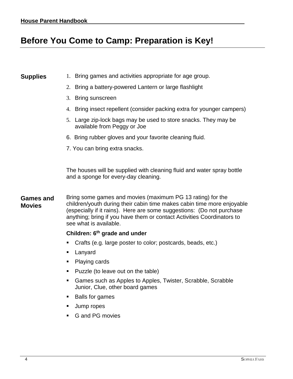## **Before You Come to Camp: Preparation is Key!**

- **Supplies** 1. Bring games and activities appropriate for age group.
	- 2. Bring a battery-powered Lantern or large flashlight
	- 3. Bring sunscreen
	- 4. Bring insect repellent (consider packing extra for younger campers)
	- 5. Large zip-lock bags may be used to store snacks. They may be available from Peggy or Joe
	- 6. Bring rubber gloves and your favorite cleaning fluid.
	- 7. You can bring extra snacks.

The houses will be supplied with cleaning fluid and water spray bottle and a sponge for every-day cleaning.

#### **Games and Movies** Bring some games and movies (maximum PG 13 rating) for the children/youth during their cabin time makes cabin time more enjoyable (especially if it rains). Here are some suggestions: (Do not purchase anything; bring if you have them or contact Activities Coordinators to see what is available.

#### **Children: 6th grade and under**

- Crafts (e.g. large poster to color; postcards, beads, etc.)
- Lanyard
- Playing cards
- Puzzle (to leave out on the table)
- Games such as Apples to Apples, Twister, Scrabble, Scrabble Junior, Clue, other board games
- Balls for games
- Jump ropes
- G and PG movies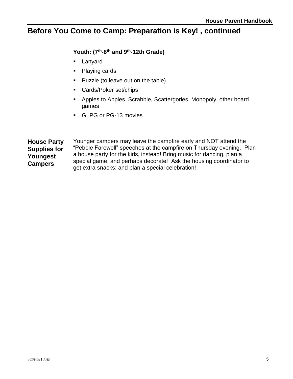## **Before You Come to Camp: Preparation is Key! , continued**

## **Youth: (7th-8 th and 9th-12th Grade)**

- Lanyard
- Playing cards
- Puzzle (to leave out on the table)
- Cards/Poker set/chips
- Apples to Apples, Scrabble, Scattergories, Monopoly, other board games
- G, PG or PG-13 movies

**House Party Supplies for Youngest Campers** Younger campers may leave the campfire early and NOT attend the "Pebble Farewell" speeches at the campfire on Thursday evening. Plan a house party for the kids, instead! Bring music for dancing, plan a special game, and perhaps decorate! Ask the housing coordinator to get extra snacks; and plan a special celebration!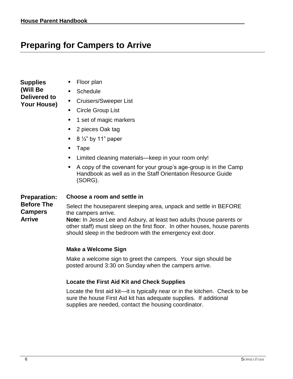## **Preparing for Campers to Arrive**

| Supplies     |  |
|--------------|--|
| (Will Be     |  |
| Delivered to |  |
| Your House)  |  |

- Floor plan
- Schedule
- Cruisers/Sweeper List
- Circle Group List
- 1 set of magic markers
- 2 pieces Oak tag
- $\blacksquare$  8  $\frac{1}{2}$ " by 11" paper
- Tape
- Limited cleaning materials—keep in your room only!
- A copy of the covenant for your group's age-group is in the Camp Handbook as well as in the Staff Orientation Resource Guide (SORG).

#### **Preparation: Choose a room and settle in**

#### **Before The Campers**  Select the houseparent sleeping area, unpack and settle in BEFORE the campers arrive.

**Arrive Note:** In Jesse Lee and Asbury, at least two adults (house parents or other staff) must sleep on the first floor. In other houses, house parents should sleep in the bedroom with the emergency exit door.

### **Make a Welcome Sign**

Make a welcome sign to greet the campers. Your sign should be posted around 3:30 on Sunday when the campers arrive.

### **Locate the First Aid Kit and Check Supplies**

Locate the first aid kit—it is typically near or in the kitchen. Check to be sure the house First Aid kit has adequate supplies. If additional supplies are needed, contact the housing coordinator.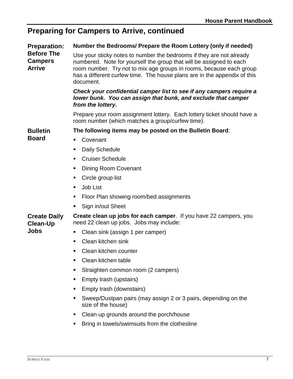## **Preparing for Campers to Arrive, continued**

| <b>Preparation:</b><br><b>Before The</b><br><b>Campers</b><br><b>Arrive</b> | Number the Bedrooms/ Prepare the Room Lottery (only if needed)                                                                                                                                                                                                                                              |
|-----------------------------------------------------------------------------|-------------------------------------------------------------------------------------------------------------------------------------------------------------------------------------------------------------------------------------------------------------------------------------------------------------|
|                                                                             | Use your sticky notes to number the bedrooms if they are not already<br>numbered. Note for yourself the group that will be assigned to each<br>room number. Try not to mix age groups in rooms, because each group<br>has a different curfew time. The house plans are in the appendix of this<br>document. |
|                                                                             | Check your confidential camper list to see if any campers require a<br>lower bunk. You can assign that bunk, and exclude that camper<br>from the lottery.                                                                                                                                                   |
|                                                                             | Prepare your room assignment lottery. Each lottery ticket should have a<br>room number (which matches a group/curfew time).                                                                                                                                                                                 |
| <b>Bulletin</b><br><b>Board</b>                                             | The following items may be posted on the Bulletin Board:                                                                                                                                                                                                                                                    |
|                                                                             | Covenant<br>٠                                                                                                                                                                                                                                                                                               |
|                                                                             | <b>Daily Schedule</b><br>п                                                                                                                                                                                                                                                                                  |
|                                                                             | <b>Cruiser Schedule</b><br>٠                                                                                                                                                                                                                                                                                |
|                                                                             | Dining Room Covenant<br>п,                                                                                                                                                                                                                                                                                  |
|                                                                             | Circle group list                                                                                                                                                                                                                                                                                           |
|                                                                             | Job List<br>٠                                                                                                                                                                                                                                                                                               |
|                                                                             | Floor Plan showing room/bed assignments<br>п,                                                                                                                                                                                                                                                               |
|                                                                             | Sign in/out Sheet<br>ш                                                                                                                                                                                                                                                                                      |
| <b>Create Daily</b><br><b>Clean-Up</b><br><b>Jobs</b>                       | <b>Create clean up jobs for each camper.</b> If you have 22 campers, you<br>need 22 clean up jobs. Jobs may include:                                                                                                                                                                                        |
|                                                                             | Clean sink (assign 1 per camper)<br>ш                                                                                                                                                                                                                                                                       |
|                                                                             | Clean kitchen sink<br>٠                                                                                                                                                                                                                                                                                     |
|                                                                             | Clean kitchen counter                                                                                                                                                                                                                                                                                       |
|                                                                             | Clean kitchen table                                                                                                                                                                                                                                                                                         |
|                                                                             | Straighten common room (2 campers)                                                                                                                                                                                                                                                                          |
|                                                                             | Empty trash (upstairs)<br>п                                                                                                                                                                                                                                                                                 |
|                                                                             | Empty trash (downstairs)<br>п                                                                                                                                                                                                                                                                               |
|                                                                             | Sweep/Dustpan pairs (may assign 2 or 3 pairs, depending on the<br>size of the house)                                                                                                                                                                                                                        |
|                                                                             | Clean up grounds around the porch/house<br>ш                                                                                                                                                                                                                                                                |
|                                                                             | Bring in towels/swimsuits from the clothesline                                                                                                                                                                                                                                                              |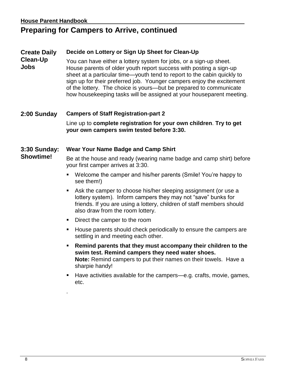## **Preparing for Campers to Arrive, continued**

#### **Create Daily Decide on Lottery or Sign Up Sheet for Clean-Up**

**Clean-Up Jobs** You can have either a lottery system for jobs, or a sign-up sheet. House parents of older youth report success with posting a sign-up sheet at a particular time—youth tend to report to the cabin quickly to sign up for their preferred job. Younger campers enjoy the excitement of the lottery. The choice is yours—but be prepared to communicate how housekeeping tasks will be assigned at your houseparent meeting.

## **2:00 Sunday Campers of Staff Registration-part 2** Line up to **complete registration for your own children**. **Try to get your own campers swim tested before 3:30.**

#### **3:30 Sunday: Wear Your Name Badge and Camp Shirt**

**Showtime!** Be at the house and ready (wearing name badge and camp shirt) before your first camper arrives at 3:30.

- Welcome the camper and his/her parents (Smile! You're happy to see them!)
- Ask the camper to choose his/her sleeping assignment (or use a lottery system). Inform campers they may not "save" bunks for friends. If you are using a lottery, children of staff members should also draw from the room lottery.
- Direct the camper to the room

.

- House parents should check periodically to ensure the campers are settling in and meeting each other.
- **Remind parents that they must accompany their children to the swim test. Remind campers they need water shoes. Note:** Remind campers to put their names on their towels. Have a sharpie handy!
- Have activities available for the campers—e.g. crafts, movie, games, etc.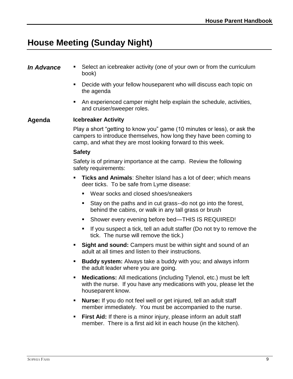## **House Meeting (Sunday Night)**

- **In Advance .** Select an icebreaker activity (one of your own or from the curriculum book)
	- Decide with your fellow houseparent who will discuss each topic on the agenda
	- An experienced camper might help explain the schedule, activities, and cruiser/sweeper roles.

### **Agenda Icebreaker Activity**

Play a short "getting to know you" game (10 minutes or less), or ask the campers to introduce themselves, how long they have been coming to camp, and what they are most looking forward to this week.

#### **Safety**

Safety is of primary importance at the camp. Review the following safety requirements:

- **Ticks and Animals:** Shelter Island has a lot of deer; which means deer ticks. To be safe from Lyme disease:
	- Wear socks and closed shoes/sneakers
	- Stay on the paths and in cut grass--do not go into the forest, behind the cabins, or walk in any tall grass or brush
	- Shower every evening before bed—THIS IS REQUIRED!
	- If you suspect a tick, tell an adult staffer (Do not try to remove the tick. The nurse will remove the tick.)
- **Example 3 Sight and sound:** Campers must be within sight and sound of an adult at all times and listen to their instructions.
- **Buddy system:** Always take a buddy with you; and always inform the adult leader where you are going.
- **Medications:** All medications (including Tylenol, etc.) must be left with the nurse. If you have any medications with you, please let the houseparent know.
- **Nurse:** If you do not feel well or get injured, tell an adult staff member immediately. You must be accompanied to the nurse.
- **First Aid:** If there is a minor injury, please inform an adult staff member. There is a first aid kit in each house (in the kitchen).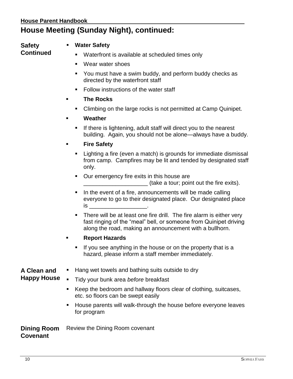## **House Meeting (Sunday Night), continued:**

## **Safety**

**Continued**

## **Water Safety**

- Waterfront is available at scheduled times only
- Wear water shoes
- You must have a swim buddy, and perform buddy checks as directed by the waterfront staff
- Follow instructions of the water staff
- **The Rocks** 
	- **EXEDENT** Climbing on the large rocks is not permitted at Camp Quinipet.
- **Weather** 
	- **EXTE:** If there is lightening, adult staff will direct you to the nearest building. Again, you should not be alone—always have a buddy.
- **Fire Safety** 
	- Lighting a fire (even a match) is grounds for immediate dismissal from camp. Campfires may be lit and tended by designated staff only.
	- Our emergency fire exits in this house are (take a tour; point out the fire exits).
	- In the event of a fire, announcements will be made calling everyone to go to their designated place. Our designated place  $is$
	- **EXTE:** There will be at least one fire drill. The fire alarm is either very fast ringing of the "meal" bell, or someone from Quinipet driving along the road, making an announcement with a bullhorn.
- **Report Hazards** 
	- **.** If you see anything in the house or on the property that is a hazard, please inform a staff member immediately.

### **A Clean and Happy House**

Tidy your bunk area *before* breakfast

■ Hang wet towels and bathing suits outside to dry

- Keep the bedroom and hallway floors clear of clothing, suitcases, etc. so floors can be swept easily
- **EXTE:** House parents will walk-through the house before everyone leaves for program

**Dining Room Covenant** Review the Dining Room covenant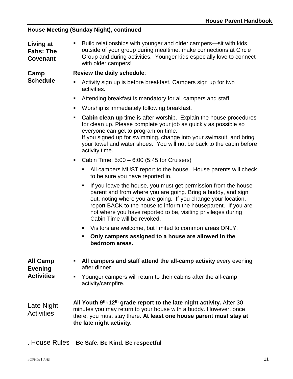### **House Meeting (Sunday Night), continued**

**Living at Fahs: The Covenant** Build relationships with younger and older campers—sit with kids outside of your group during mealtime, make connections at Circle Group and during activities. Younger kids especially love to connect with older campers!

**Camp Schedule**

#### **Review the daily schedule**:

- Activity sign up is before breakfast. Campers sign up for two activities.
- Attending breakfast is mandatory for all campers and staff!
- Worship is immediately following breakfast.
- **EXECT** Cabin clean up time is after worship. Explain the house procedures for clean up. Please complete your job as quickly as possible so everyone can get to program on time. If you signed up for swimming, change into your swimsuit, and bring your towel and water shoes. You will not be back to the cabin before activity time.
- Cabin Time:  $5:00 6:00$  (5:45 for Cruisers)
	- All campers MUST report to the house. House parents will check to be sure you have reported in.
	- If you leave the house, you must get permission from the house parent and from where you are going. Bring a buddy, and sign out, noting where you are going. If you change your location, report BACK to the house to inform the houseparent. If you are not where you have reported to be, visiting privileges during Cabin Time will be revoked.
	- Visitors are welcome, but limited to common areas ONLY.
	- **Only campers assigned to a house are allowed in the bedroom areas.**

| <b>All Camp</b><br><b>Evening</b><br><b>Activities</b> | All campers and staff attend the all-camp activity every evening<br>$\mathbf{E}$ .<br>after dinner.<br>Younger campers will return to their cabins after the all-camp<br>$\blacksquare$ .<br>activity/campfire.                            |
|--------------------------------------------------------|--------------------------------------------------------------------------------------------------------------------------------------------------------------------------------------------------------------------------------------------|
| Late Night<br><b>Activities</b>                        | All Youth 9th-12th grade report to the late night activity. After 30<br>minutes you may return to your house with a buddy. However, once<br>there, you must stay there. At least one house parent must stay at<br>the late night activity. |

**.** House Rules **Be Safe. Be Kind. Be respectful**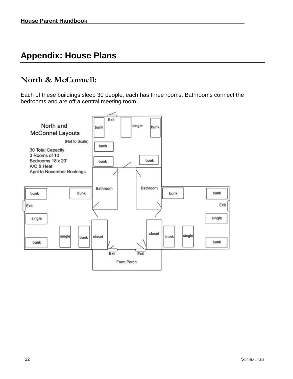## **Appendix: House Plans**

## **North & McConnell:**

Each of these buildings sleep 30 people, each has three rooms. Bathrooms connect the bedrooms and are off a central meeting room.

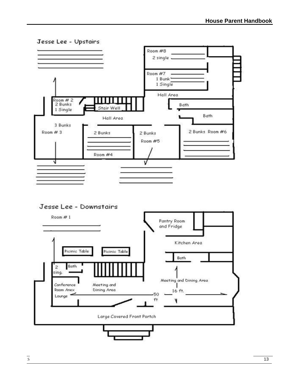

Jesse Lee - Downstairs

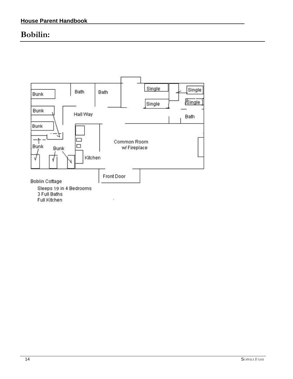## **Bobilin:**

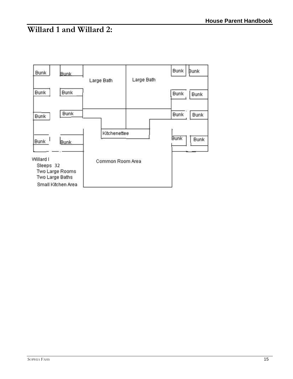## **Willard 1 and Willard 2:**